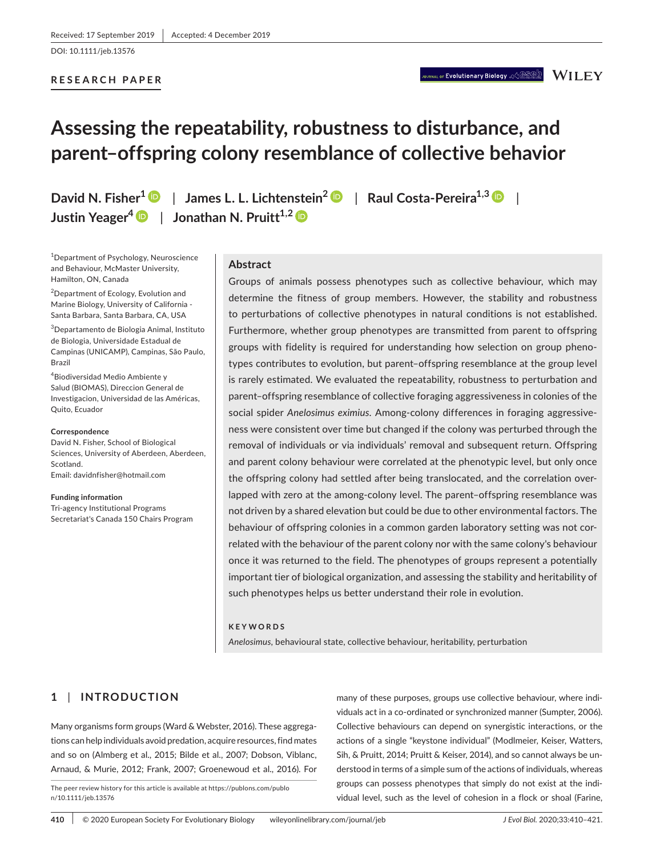## **RESEARCH PAPER**

# **Assessing the repeatability, robustness to disturbance, and parent–offspring colony resemblance of collective behavior**

**David N. Fisher[1](https://orcid.org/0000-0002-4444-4450)** | **James L. L. Lichtenstein<sup>2</sup>** | **Raul Costa-Pereira1,[3](https://orcid.org/0000-0003-2370-5866)** | **Justin Yeager<sup>4</sup>** | **Jonathan N. Pruitt1,2**

1 Department of Psychology, Neuroscience and Behaviour, McMaster University, Hamilton, ON, Canada

<sup>2</sup>Department of Ecology, Evolution and Marine Biology, University of California - Santa Barbara, Santa Barbara, CA, USA

3 Departamento de Biologia Animal, Instituto de Biologia, Universidade Estadual de Campinas (UNICAMP), Campinas, São Paulo, Brazil

4 Biodiversidad Medio Ambiente y Salud (BIOMAS), Direccion General de Investigacion, Universidad de las Américas, Quito, Ecuador

#### **Correspondence**

David N. Fisher, School of Biological Sciences, University of Aberdeen, Aberdeen, Scotland. Email: [davidnfisher@hotmail.com](mailto:davidnfisher@hotmail.com)

#### **Funding information**

Tri-agency Institutional Programs Secretariat's Canada 150 Chairs Program

# **Abstract**

Groups of animals possess phenotypes such as collective behaviour, which may determine the fitness of group members. However, the stability and robustness to perturbations of collective phenotypes in natural conditions is not established. Furthermore, whether group phenotypes are transmitted from parent to offspring groups with fidelity is required for understanding how selection on group phenotypes contributes to evolution, but parent–offspring resemblance at the group level is rarely estimated. We evaluated the repeatability, robustness to perturbation and parent–offspring resemblance of collective foraging aggressiveness in colonies of the social spider *Anelosimus eximius*. Among-colony differences in foraging aggressiveness were consistent over time but changed if the colony was perturbed through the removal of individuals or via individuals' removal and subsequent return. Offspring and parent colony behaviour were correlated at the phenotypic level, but only once the offspring colony had settled after being translocated, and the correlation overlapped with zero at the among-colony level. The parent–offspring resemblance was not driven by a shared elevation but could be due to other environmental factors. The behaviour of offspring colonies in a common garden laboratory setting was not correlated with the behaviour of the parent colony nor with the same colony's behaviour once it was returned to the field. The phenotypes of groups represent a potentially important tier of biological organization, and assessing the stability and heritability of such phenotypes helps us better understand their role in evolution.

#### **KEYWORDS**

*Anelosimus*, behavioural state, collective behaviour, heritability, perturbation

# **1** | **INTRODUCTION**

Many organisms form groups (Ward & Webster, 2016). These aggregations can help individuals avoid predation, acquire resources, find mates and so on (Almberg et al., 2015; Bilde et al., 2007; Dobson, Viblanc, Arnaud, & Murie, 2012; Frank, 2007; Groenewoud et al., 2016). For

The peer review history for this article is available at [https://publons.com/publo](https://publons.com/publon/10.1111/jeb.13576) [n/10.1111/jeb.13576](https://publons.com/publon/10.1111/jeb.13576)

many of these purposes, groups use collective behaviour, where individuals act in a co-ordinated or synchronized manner (Sumpter, 2006). Collective behaviours can depend on synergistic interactions, or the actions of a single "keystone individual" (Modlmeier, Keiser, Watters, Sih, & Pruitt, 2014; Pruitt & Keiser, 2014), and so cannot always be understood in terms of a simple sum of the actions of individuals, whereas groups can possess phenotypes that simply do not exist at the individual level, such as the level of cohesion in a flock or shoal (Farine,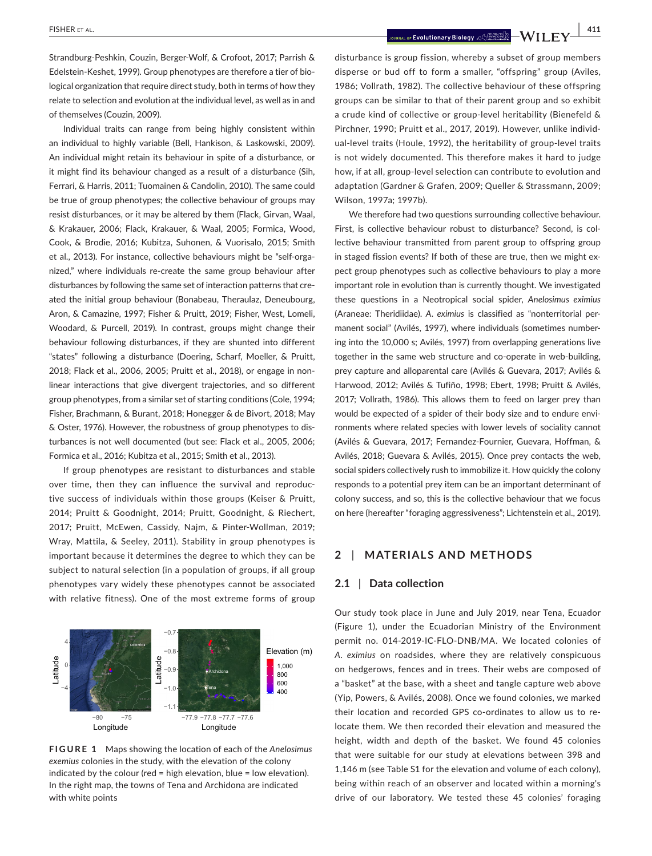Individual traits can range from being highly consistent within an individual to highly variable (Bell, Hankison, & Laskowski, 2009). An individual might retain its behaviour in spite of a disturbance, or it might find its behaviour changed as a result of a disturbance (Sih, Ferrari, & Harris, 2011; Tuomainen & Candolin, 2010). The same could be true of group phenotypes; the collective behaviour of groups may resist disturbances, or it may be altered by them (Flack, Girvan, Waal, & Krakauer, 2006; Flack, Krakauer, & Waal, 2005; Formica, Wood, Cook, & Brodie, 2016; Kubitza, Suhonen, & Vuorisalo, 2015; Smith et al., 2013). For instance, collective behaviours might be "self-organized," where individuals re-create the same group behaviour after disturbances by following the same set of interaction patterns that created the initial group behaviour (Bonabeau, Theraulaz, Deneubourg, Aron, & Camazine, 1997; Fisher & Pruitt, 2019; Fisher, West, Lomeli, Woodard, & Purcell, 2019). In contrast, groups might change their behaviour following disturbances, if they are shunted into different "states" following a disturbance (Doering, Scharf, Moeller, & Pruitt, 2018; Flack et al., 2006, 2005; Pruitt et al., 2018), or engage in nonlinear interactions that give divergent trajectories, and so different group phenotypes, from a similar set of starting conditions (Cole, 1994; Fisher, Brachmann, & Burant, 2018; Honegger & de Bivort, 2018; May & Oster, 1976). However, the robustness of group phenotypes to disturbances is not well documented (but see: Flack et al., 2005, 2006; Formica et al., 2016; Kubitza et al., 2015; Smith et al., 2013).

If group phenotypes are resistant to disturbances and stable over time, then they can influence the survival and reproductive success of individuals within those groups (Keiser & Pruitt, 2014; Pruitt & Goodnight, 2014; Pruitt, Goodnight, & Riechert, 2017; Pruitt, McEwen, Cassidy, Najm, & Pinter-Wollman, 2019; Wray, Mattila, & Seeley, 2011). Stability in group phenotypes is important because it determines the degree to which they can be subject to natural selection (in a population of groups, if all group phenotypes vary widely these phenotypes cannot be associated with relative fitness). One of the most extreme forms of group



**FIGURE 1** Maps showing the location of each of the *Anelosimus exemius* colonies in the study, with the elevation of the colony indicated by the colour (red = high elevation, blue = low elevation). In the right map, the towns of Tena and Archidona are indicated with white points

disturbance is group fission, whereby a subset of group members disperse or bud off to form a smaller, "offspring" group (Aviles, 1986; Vollrath, 1982). The collective behaviour of these offspring groups can be similar to that of their parent group and so exhibit a crude kind of collective or group-level heritability (Bienefeld & Pirchner, 1990; Pruitt et al., 2017, 2019). However, unlike individual-level traits (Houle, 1992), the heritability of group-level traits is not widely documented. This therefore makes it hard to judge how, if at all, group-level selection can contribute to evolution and adaptation (Gardner & Grafen, 2009; Queller & Strassmann, 2009; Wilson, 1997a; 1997b).

We therefore had two questions surrounding collective behaviour. First, is collective behaviour robust to disturbance? Second, is collective behaviour transmitted from parent group to offspring group in staged fission events? If both of these are true, then we might expect group phenotypes such as collective behaviours to play a more important role in evolution than is currently thought. We investigated these questions in a Neotropical social spider, *Anelosimus eximius* (Araneae: Theridiidae). *A. eximius* is classified as "nonterritorial permanent social" (Avilés, 1997), where individuals (sometimes numbering into the 10,000 s; Avilés, 1997) from overlapping generations live together in the same web structure and co-operate in web-building, prey capture and alloparental care (Avilés & Guevara, 2017; Avilés & Harwood, 2012; Avilés & Tufiño, 1998; Ebert, 1998; Pruitt & Avilés, 2017; Vollrath, 1986). This allows them to feed on larger prey than would be expected of a spider of their body size and to endure environments where related species with lower levels of sociality cannot (Avilés & Guevara, 2017; Fernandez-Fournier, Guevara, Hoffman, & Avilés, 2018; Guevara & Avilés, 2015). Once prey contacts the web, social spiders collectively rush to immobilize it. How quickly the colony responds to a potential prey item can be an important determinant of colony success, and so, this is the collective behaviour that we focus on here (hereafter "foraging aggressiveness"; Lichtenstein et al., 2019).

# **2** | **MATERIALS AND METHODS**

# **2.1** | **Data collection**

Our study took place in June and July 2019, near Tena, Ecuador (Figure 1), under the Ecuadorian Ministry of the Environment permit no. 014-2019-IC-FLO-DNB/MA. We located colonies of *A. eximius* on roadsides, where they are relatively conspicuous on hedgerows, fences and in trees. Their webs are composed of a "basket" at the base, with a sheet and tangle capture web above (Yip, Powers, & Avilés, 2008). Once we found colonies, we marked their location and recorded GPS co-ordinates to allow us to relocate them. We then recorded their elevation and measured the height, width and depth of the basket. We found 45 colonies that were suitable for our study at elevations between 398 and 1,146 m (see Table S1 for the elevation and volume of each colony), being within reach of an observer and located within a morning's drive of our laboratory. We tested these 45 colonies' foraging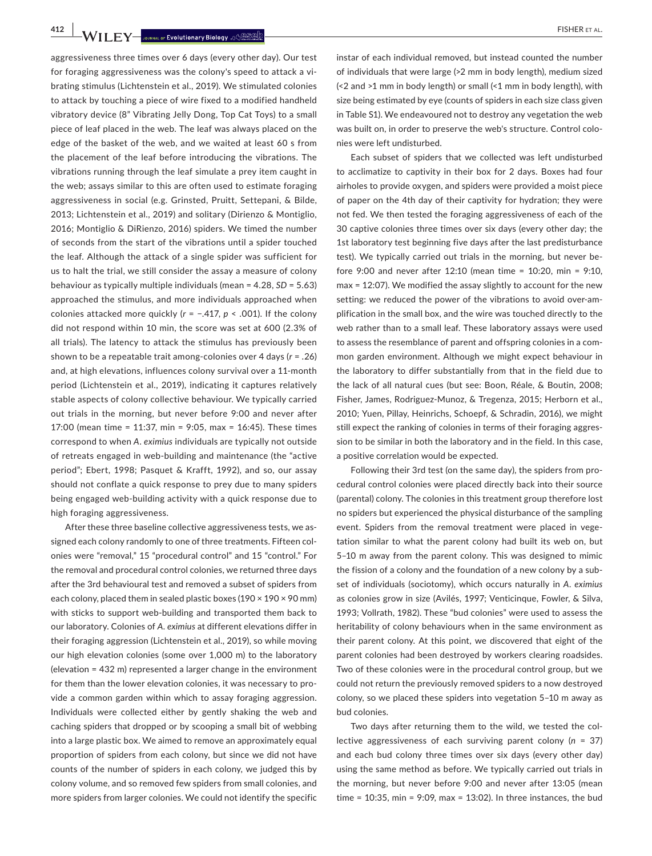**412 WII.F.Y** Journal of Evolutionary Biology . 49 BPD

aggressiveness three times over 6 days (every other day). Our test for foraging aggressiveness was the colony's speed to attack a vibrating stimulus (Lichtenstein et al., 2019). We stimulated colonies to attack by touching a piece of wire fixed to a modified handheld vibratory device (8" Vibrating Jelly Dong, Top Cat Toys) to a small piece of leaf placed in the web. The leaf was always placed on the edge of the basket of the web, and we waited at least 60 s from the placement of the leaf before introducing the vibrations. The vibrations running through the leaf simulate a prey item caught in the web; assays similar to this are often used to estimate foraging aggressiveness in social (e.g. Grinsted, Pruitt, Settepani, & Bilde, 2013; Lichtenstein et al., 2019) and solitary (Dirienzo & Montiglio, 2016; Montiglio & DiRienzo, 2016) spiders. We timed the number of seconds from the start of the vibrations until a spider touched the leaf. Although the attack of a single spider was sufficient for us to halt the trial, we still consider the assay a measure of colony behaviour as typically multiple individuals (mean = 4.28, *SD* = 5.63) approached the stimulus, and more individuals approached when colonies attacked more quickly (*r* = −.417, *p* < .001). If the colony did not respond within 10 min, the score was set at 600 (2.3% of all trials). The latency to attack the stimulus has previously been shown to be a repeatable trait among-colonies over 4 days (*r* = .26) and, at high elevations, influences colony survival over a 11-month period (Lichtenstein et al., 2019), indicating it captures relatively stable aspects of colony collective behaviour. We typically carried out trials in the morning, but never before 9:00 and never after 17:00 (mean time = 11:37, min = 9:05, max = 16:45). These times correspond to when *A. eximius* individuals are typically not outside of retreats engaged in web-building and maintenance (the "active period"; Ebert, 1998; Pasquet & Krafft, 1992), and so, our assay should not conflate a quick response to prey due to many spiders being engaged web-building activity with a quick response due to high foraging aggressiveness.

After these three baseline collective aggressiveness tests, we assigned each colony randomly to one of three treatments. Fifteen colonies were "removal," 15 "procedural control" and 15 "control." For the removal and procedural control colonies, we returned three days after the 3rd behavioural test and removed a subset of spiders from each colony, placed them in sealed plastic boxes (190 × 190 × 90 mm) with sticks to support web-building and transported them back to our laboratory. Colonies of *A. eximius* at different elevations differ in their foraging aggression (Lichtenstein et al., 2019), so while moving our high elevation colonies (some over 1,000 m) to the laboratory (elevation = 432 m) represented a larger change in the environment for them than the lower elevation colonies, it was necessary to provide a common garden within which to assay foraging aggression. Individuals were collected either by gently shaking the web and caching spiders that dropped or by scooping a small bit of webbing into a large plastic box. We aimed to remove an approximately equal proportion of spiders from each colony, but since we did not have counts of the number of spiders in each colony, we judged this by colony volume, and so removed few spiders from small colonies, and more spiders from larger colonies. We could not identify the specific

instar of each individual removed, but instead counted the number of individuals that were large (>2 mm in body length), medium sized (<2 and >1 mm in body length) or small (<1 mm in body length), with size being estimated by eye (counts of spiders in each size class given in Table S1). We endeavoured not to destroy any vegetation the web was built on, in order to preserve the web's structure. Control colonies were left undisturbed.

Each subset of spiders that we collected was left undisturbed to acclimatize to captivity in their box for 2 days. Boxes had four airholes to provide oxygen, and spiders were provided a moist piece of paper on the 4th day of their captivity for hydration; they were not fed. We then tested the foraging aggressiveness of each of the 30 captive colonies three times over six days (every other day; the 1st laboratory test beginning five days after the last predisturbance test). We typically carried out trials in the morning, but never before 9:00 and never after 12:10 (mean time = 10:20, min = 9:10, max = 12:07). We modified the assay slightly to account for the new setting: we reduced the power of the vibrations to avoid over-amplification in the small box, and the wire was touched directly to the web rather than to a small leaf. These laboratory assays were used to assess the resemblance of parent and offspring colonies in a common garden environment. Although we might expect behaviour in the laboratory to differ substantially from that in the field due to the lack of all natural cues (but see: Boon, Réale, & Boutin, 2008; Fisher, James, Rodriguez-Munoz, & Tregenza, 2015; Herborn et al., 2010; Yuen, Pillay, Heinrichs, Schoepf, & Schradin, 2016), we might still expect the ranking of colonies in terms of their foraging aggression to be similar in both the laboratory and in the field. In this case, a positive correlation would be expected.

Following their 3rd test (on the same day), the spiders from procedural control colonies were placed directly back into their source (parental) colony. The colonies in this treatment group therefore lost no spiders but experienced the physical disturbance of the sampling event. Spiders from the removal treatment were placed in vegetation similar to what the parent colony had built its web on, but 5–10 m away from the parent colony. This was designed to mimic the fission of a colony and the foundation of a new colony by a subset of individuals (sociotomy), which occurs naturally in *A. eximius* as colonies grow in size (Avilés, 1997; Venticinque, Fowler, & Silva, 1993; Vollrath, 1982). These "bud colonies" were used to assess the heritability of colony behaviours when in the same environment as their parent colony. At this point, we discovered that eight of the parent colonies had been destroyed by workers clearing roadsides. Two of these colonies were in the procedural control group, but we could not return the previously removed spiders to a now destroyed colony, so we placed these spiders into vegetation 5–10 m away as bud colonies.

Two days after returning them to the wild, we tested the collective aggressiveness of each surviving parent colony (*n* = 37) and each bud colony three times over six days (every other day) using the same method as before. We typically carried out trials in the morning, but never before 9:00 and never after 13:05 (mean time = 10:35, min = 9:09, max = 13:02). In three instances, the bud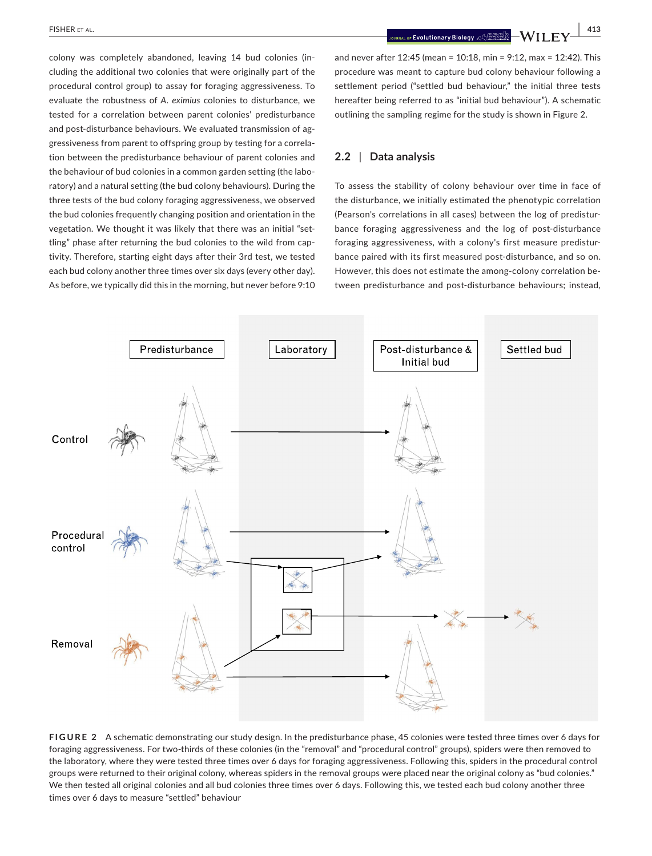**|** FISHER et al. **413**

colony was completely abandoned, leaving 14 bud colonies (including the additional two colonies that were originally part of the procedural control group) to assay for foraging aggressiveness. To evaluate the robustness of *A. eximius* colonies to disturbance, we tested for a correlation between parent colonies' predisturbance and post-disturbance behaviours. We evaluated transmission of aggressiveness from parent to offspring group by testing for a correlation between the predisturbance behaviour of parent colonies and the behaviour of bud colonies in a common garden setting (the laboratory) and a natural setting (the bud colony behaviours). During the three tests of the bud colony foraging aggressiveness, we observed the bud colonies frequently changing position and orientation in the vegetation. We thought it was likely that there was an initial "settling" phase after returning the bud colonies to the wild from captivity. Therefore, starting eight days after their 3rd test, we tested each bud colony another three times over six days (every other day). As before, we typically did this in the morning, but never before 9:10 and never after 12:45 (mean = 10:18, min = 9:12, max = 12:42). This procedure was meant to capture bud colony behaviour following a settlement period ("settled bud behaviour," the initial three tests hereafter being referred to as "initial bud behaviour"). A schematic outlining the sampling regime for the study is shown in Figure 2.

#### **2.2** | **Data analysis**

To assess the stability of colony behaviour over time in face of the disturbance, we initially estimated the phenotypic correlation (Pearson's correlations in all cases) between the log of predisturbance foraging aggressiveness and the log of post-disturbance foraging aggressiveness, with a colony's first measure predisturbance paired with its first measured post-disturbance, and so on. However, this does not estimate the among-colony correlation between predisturbance and post-disturbance behaviours; instead,



**FIGURE 2** A schematic demonstrating our study design. In the predisturbance phase, 45 colonies were tested three times over 6 days for foraging aggressiveness. For two-thirds of these colonies (in the "removal" and "procedural control" groups), spiders were then removed to the laboratory, where they were tested three times over 6 days for foraging aggressiveness. Following this, spiders in the procedural control groups were returned to their original colony, whereas spiders in the removal groups were placed near the original colony as "bud colonies." We then tested all original colonies and all bud colonies three times over 6 days. Following this, we tested each bud colony another three times over 6 days to measure "settled" behaviour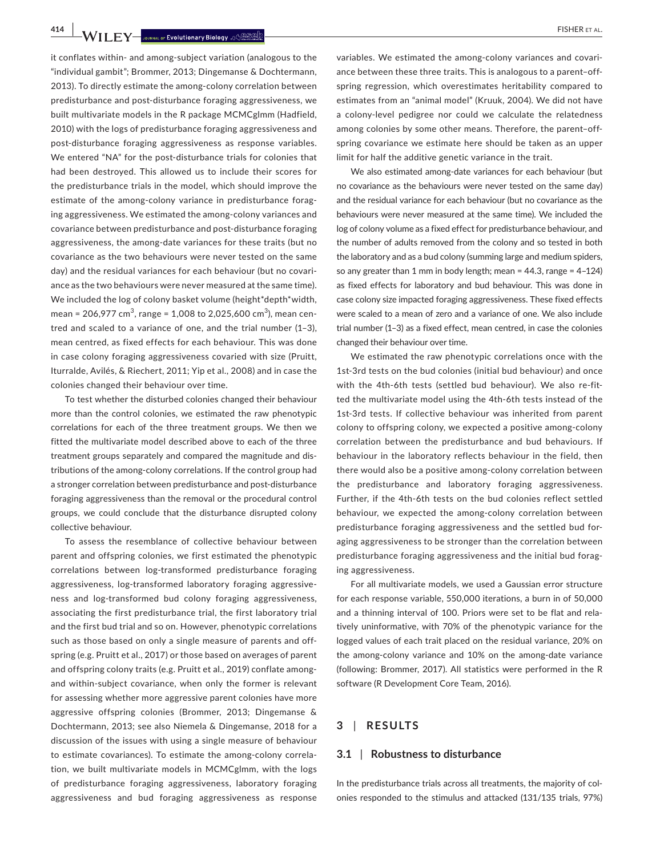**414 WII.F.Y** Journal of Evolutionary Biology . 49 BPD

it conflates within- and among-subject variation (analogous to the "individual gambit"; Brommer, 2013; Dingemanse & Dochtermann, 2013). To directly estimate the among-colony correlation between predisturbance and post-disturbance foraging aggressiveness, we built multivariate models in the R package MCMCglmm (Hadfield, 2010) with the logs of predisturbance foraging aggressiveness and post-disturbance foraging aggressiveness as response variables. We entered "NA" for the post-disturbance trials for colonies that had been destroyed. This allowed us to include their scores for the predisturbance trials in the model, which should improve the estimate of the among-colony variance in predisturbance foraging aggressiveness. We estimated the among-colony variances and covariance between predisturbance and post-disturbance foraging aggressiveness, the among-date variances for these traits (but no covariance as the two behaviours were never tested on the same day) and the residual variances for each behaviour (but no covariance as the two behaviours were never measured at the same time). We included the log of colony basket volume (height\*depth\*width, mean = 206,977 cm $^3$ , range = 1,008 to 2,025,600 cm $^3$ ), mean centred and scaled to a variance of one, and the trial number (1–3), mean centred, as fixed effects for each behaviour. This was done in case colony foraging aggressiveness covaried with size (Pruitt, Iturralde, Avilés, & Riechert, 2011; Yip et al., 2008) and in case the colonies changed their behaviour over time.

To test whether the disturbed colonies changed their behaviour more than the control colonies, we estimated the raw phenotypic correlations for each of the three treatment groups. We then we fitted the multivariate model described above to each of the three treatment groups separately and compared the magnitude and distributions of the among-colony correlations. If the control group had a stronger correlation between predisturbance and post-disturbance foraging aggressiveness than the removal or the procedural control groups, we could conclude that the disturbance disrupted colony collective behaviour.

To assess the resemblance of collective behaviour between parent and offspring colonies, we first estimated the phenotypic correlations between log-transformed predisturbance foraging aggressiveness, log-transformed laboratory foraging aggressiveness and log-transformed bud colony foraging aggressiveness, associating the first predisturbance trial, the first laboratory trial and the first bud trial and so on. However, phenotypic correlations such as those based on only a single measure of parents and offspring (e.g. Pruitt et al., 2017) or those based on averages of parent and offspring colony traits (e.g. Pruitt et al., 2019) conflate amongand within-subject covariance, when only the former is relevant for assessing whether more aggressive parent colonies have more aggressive offspring colonies (Brommer, 2013; Dingemanse & Dochtermann, 2013; see also Niemela & Dingemanse, 2018 for a discussion of the issues with using a single measure of behaviour to estimate covariances). To estimate the among-colony correlation, we built multivariate models in MCMCglmm, with the logs of predisturbance foraging aggressiveness, laboratory foraging aggressiveness and bud foraging aggressiveness as response

variables. We estimated the among-colony variances and covariance between these three traits. This is analogous to a parent–offspring regression, which overestimates heritability compared to estimates from an "animal model" (Kruuk, 2004). We did not have a colony-level pedigree nor could we calculate the relatedness among colonies by some other means. Therefore, the parent–offspring covariance we estimate here should be taken as an upper limit for half the additive genetic variance in the trait.

We also estimated among-date variances for each behaviour (but no covariance as the behaviours were never tested on the same day) and the residual variance for each behaviour (but no covariance as the behaviours were never measured at the same time). We included the log of colony volume as a fixed effect for predisturbance behaviour, and the number of adults removed from the colony and so tested in both the laboratory and as a bud colony (summing large and medium spiders, so any greater than 1 mm in body length; mean =  $44.3$ , range =  $4-124$ ) as fixed effects for laboratory and bud behaviour. This was done in case colony size impacted foraging aggressiveness. These fixed effects were scaled to a mean of zero and a variance of one. We also include trial number (1–3) as a fixed effect, mean centred, in case the colonies changed their behaviour over time.

We estimated the raw phenotypic correlations once with the 1st-3rd tests on the bud colonies (initial bud behaviour) and once with the 4th-6th tests (settled bud behaviour). We also re-fitted the multivariate model using the 4th-6th tests instead of the 1st-3rd tests. If collective behaviour was inherited from parent colony to offspring colony, we expected a positive among-colony correlation between the predisturbance and bud behaviours. If behaviour in the laboratory reflects behaviour in the field, then there would also be a positive among-colony correlation between the predisturbance and laboratory foraging aggressiveness. Further, if the 4th-6th tests on the bud colonies reflect settled behaviour, we expected the among-colony correlation between predisturbance foraging aggressiveness and the settled bud foraging aggressiveness to be stronger than the correlation between predisturbance foraging aggressiveness and the initial bud foraging aggressiveness.

For all multivariate models, we used a Gaussian error structure for each response variable, 550,000 iterations, a burn in of 50,000 and a thinning interval of 100. Priors were set to be flat and relatively uninformative, with 70% of the phenotypic variance for the logged values of each trait placed on the residual variance, 20% on the among-colony variance and 10% on the among-date variance (following: Brommer, 2017). All statistics were performed in the R software (R Development Core Team, 2016).

# **3** | **RESULTS**

#### **3.1** | **Robustness to disturbance**

In the predisturbance trials across all treatments, the majority of colonies responded to the stimulus and attacked (131/135 trials, 97%)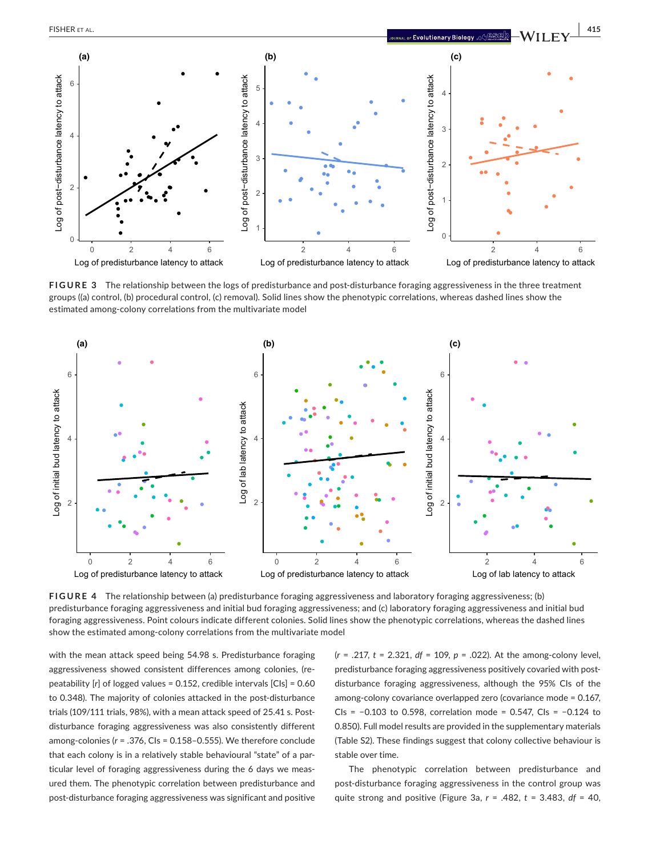

Log of predisturbance latency to attack Log of predisturbance latency to attack

Log of predisturbance latency to attack

**FIGURE 3** The relationship between the logs of predisturbance and post-disturbance foraging aggressiveness in the three treatment groups ((a) control, (b) procedural control, (c) removal). Solid lines show the phenotypic correlations, whereas dashed lines show the estimated among-colony correlations from the multivariate model



**FIGURE 4** The relationship between (a) predisturbance foraging aggressiveness and laboratory foraging aggressiveness; (b) predisturbance foraging aggressiveness and initial bud foraging aggressiveness; and (c) laboratory foraging aggressiveness and initial bud foraging aggressiveness. Point colours indicate different colonies. Solid lines show the phenotypic correlations, whereas the dashed lines show the estimated among-colony correlations from the multivariate model

with the mean attack speed being 54.98 s. Predisturbance foraging aggressiveness showed consistent differences among colonies, (repeatability [*r*] of logged values = 0.152, credible intervals [CIs] = 0.60 to 0.348). The majority of colonies attacked in the post-disturbance trials (109/111 trials, 98%), with a mean attack speed of 25.41 s. Postdisturbance foraging aggressiveness was also consistently different among-colonies (*r* = .376, CIs = 0.158–0.555). We therefore conclude that each colony is in a relatively stable behavioural "state" of a particular level of foraging aggressiveness during the 6 days we measured them. The phenotypic correlation between predisturbance and post-disturbance foraging aggressiveness was significant and positive

(*r* = .217, *t* = 2.321, *df* = 109, *p* = .022). At the among-colony level, predisturbance foraging aggressiveness positively covaried with postdisturbance foraging aggressiveness, although the 95% CIs of the among-colony covariance overlapped zero (covariance mode = 0.167, CIs = −0.103 to 0.598, correlation mode = 0.547, CIs = −0.124 to 0.850). Full model results are provided in the supplementary materials (Table S2). These findings suggest that colony collective behaviour is stable over time.

The phenotypic correlation between predisturbance and post-disturbance foraging aggressiveness in the control group was quite strong and positive (Figure 3a, *r* = .482, *t* = 3.483, *df* = 40,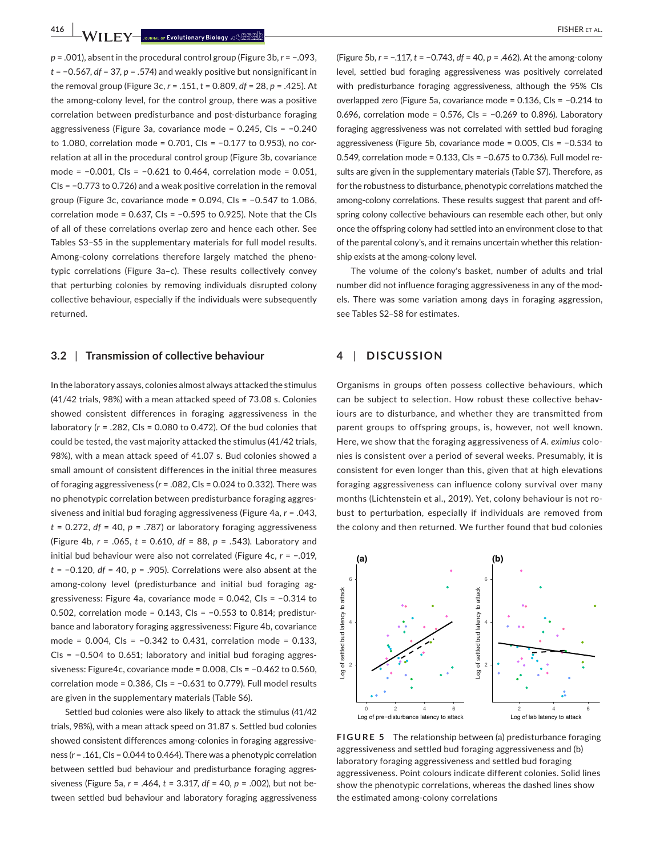**416 |**  FISHER et al.

*p* = .001), absent in the procedural control group (Figure 3b, *r* = −.093, *t* = −0.567, *df* = 37, *p* = .574) and weakly positive but nonsignificant in the removal group (Figure 3c, *r* = .151, *t* = 0.809, *df* = 28, *p* = .425). At the among-colony level, for the control group, there was a positive correlation between predisturbance and post-disturbance foraging aggressiveness (Figure 3a, covariance mode = 0.245, CIs = −0.240 to 1.080, correlation mode = 0.701, CIs = −0.177 to 0.953), no correlation at all in the procedural control group (Figure 3b, covariance mode = −0.001, CIs = −0.621 to 0.464, correlation mode = 0.051, CIs = −0.773 to 0.726) and a weak positive correlation in the removal group (Figure 3c, covariance mode = 0.094, CIs = −0.547 to 1.086, correlation mode = 0.637, CIs = −0.595 to 0.925). Note that the CIs of all of these correlations overlap zero and hence each other. See Tables S3–S5 in the supplementary materials for full model results. Among-colony correlations therefore largely matched the phenotypic correlations (Figure 3a–c). These results collectively convey that perturbing colonies by removing individuals disrupted colony collective behaviour, especially if the individuals were subsequently returned.

## **3.2** | **Transmission of collective behaviour**

In the laboratory assays, colonies almost always attacked the stimulus (41/42 trials, 98%) with a mean attacked speed of 73.08 s. Colonies showed consistent differences in foraging aggressiveness in the laboratory (*r* = .282, CIs = 0.080 to 0.472). Of the bud colonies that could be tested, the vast majority attacked the stimulus (41/42 trials, 98%), with a mean attack speed of 41.07 s. Bud colonies showed a small amount of consistent differences in the initial three measures of foraging aggressiveness (*r* = .082, CIs = 0.024 to 0.332). There was no phenotypic correlation between predisturbance foraging aggressiveness and initial bud foraging aggressiveness (Figure 4a, *r* = .043, *t* = 0.272, *df* = 40, *p* = .787) or laboratory foraging aggressiveness (Figure 4b, *r* = .065, *t* = 0.610, *df* = 88, *p* = .543). Laboratory and initial bud behaviour were also not correlated (Figure 4c, *r* = −.019, *t* = −0.120, *df* = 40, *p* = .905). Correlations were also absent at the among-colony level (predisturbance and initial bud foraging aggressiveness: Figure 4a, covariance mode = 0.042, CIs = −0.314 to 0.502, correlation mode = 0.143, CIs = −0.553 to 0.814; predisturbance and laboratory foraging aggressiveness: Figure 4b, covariance mode = 0.004, CIs = −0.342 to 0.431, correlation mode = 0.133, CIs = −0.504 to 0.651; laboratory and initial bud foraging aggressiveness: Figure4c, covariance mode = 0.008, CIs = −0.462 to 0.560, correlation mode = 0.386, CIs = −0.631 to 0.779). Full model results are given in the supplementary materials (Table S6).

Settled bud colonies were also likely to attack the stimulus (41/42 trials, 98%), with a mean attack speed on 31.87 s. Settled bud colonies showed consistent differences among-colonies in foraging aggressiveness (*r* = .161, CIs = 0.044 to 0.464). There was a phenotypic correlation between settled bud behaviour and predisturbance foraging aggressiveness (Figure 5a, *r* = .464, *t* = 3.317, *df* = 40, *p* = .002), but not between settled bud behaviour and laboratory foraging aggressiveness

(Figure 5b, *r* = −.117, *t* = −0.743, *df* = 40, *p* = .462). At the among-colony level, settled bud foraging aggressiveness was positively correlated with predisturbance foraging aggressiveness, although the 95% CIs overlapped zero (Figure 5a, covariance mode = 0.136, CIs = −0.214 to 0.696, correlation mode = 0.576, CIs = −0.269 to 0.896). Laboratory foraging aggressiveness was not correlated with settled bud foraging aggressiveness (Figure 5b, covariance mode = 0.005, CIs = −0.534 to 0.549, correlation mode = 0.133, CIs = −0.675 to 0.736). Full model results are given in the supplementary materials (Table S7). Therefore, as for the robustness to disturbance, phenotypic correlations matched the among-colony correlations. These results suggest that parent and offspring colony collective behaviours can resemble each other, but only once the offspring colony had settled into an environment close to that of the parental colony's, and it remains uncertain whether this relationship exists at the among-colony level.

The volume of the colony's basket, number of adults and trial number did not influence foraging aggressiveness in any of the models. There was some variation among days in foraging aggression, see Tables S2–S8 for estimates.

## **4** | **DISCUSSION**

Organisms in groups often possess collective behaviours, which can be subject to selection. How robust these collective behaviours are to disturbance, and whether they are transmitted from parent groups to offspring groups, is, however, not well known. Here, we show that the foraging aggressiveness of *A. eximius* colonies is consistent over a period of several weeks. Presumably, it is consistent for even longer than this, given that at high elevations foraging aggressiveness can influence colony survival over many months (Lichtenstein et al., 2019). Yet, colony behaviour is not robust to perturbation, especially if individuals are removed from the colony and then returned. We further found that bud colonies



**FIGURE 5** The relationship between (a) predisturbance foraging aggressiveness and settled bud foraging aggressiveness and (b) laboratory foraging aggressiveness and settled bud foraging aggressiveness. Point colours indicate different colonies. Solid lines show the phenotypic correlations, whereas the dashed lines show the estimated among-colony correlations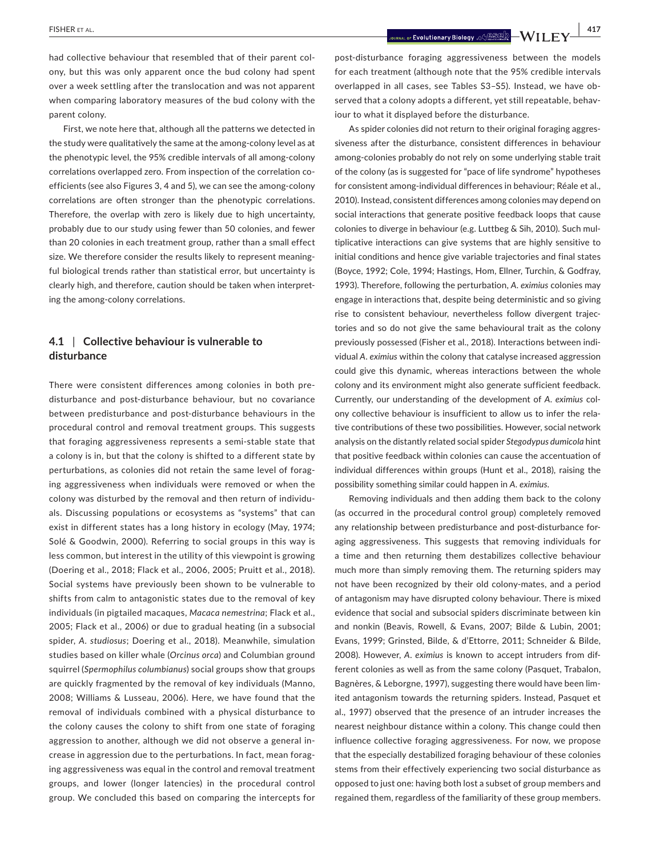had collective behaviour that resembled that of their parent colony, but this was only apparent once the bud colony had spent over a week settling after the translocation and was not apparent when comparing laboratory measures of the bud colony with the parent colony.

First, we note here that, although all the patterns we detected in the study were qualitatively the same at the among-colony level as at the phenotypic level, the 95% credible intervals of all among-colony correlations overlapped zero. From inspection of the correlation coefficients (see also Figures 3, 4 and 5), we can see the among-colony correlations are often stronger than the phenotypic correlations. Therefore, the overlap with zero is likely due to high uncertainty, probably due to our study using fewer than 50 colonies, and fewer than 20 colonies in each treatment group, rather than a small effect size. We therefore consider the results likely to represent meaningful biological trends rather than statistical error, but uncertainty is clearly high, and therefore, caution should be taken when interpreting the among-colony correlations.

# **4.1** | **Collective behaviour is vulnerable to disturbance**

There were consistent differences among colonies in both predisturbance and post-disturbance behaviour, but no covariance between predisturbance and post-disturbance behaviours in the procedural control and removal treatment groups. This suggests that foraging aggressiveness represents a semi-stable state that a colony is in, but that the colony is shifted to a different state by perturbations, as colonies did not retain the same level of foraging aggressiveness when individuals were removed or when the colony was disturbed by the removal and then return of individuals. Discussing populations or ecosystems as "systems" that can exist in different states has a long history in ecology (May, 1974; Solé & Goodwin, 2000). Referring to social groups in this way is less common, but interest in the utility of this viewpoint is growing (Doering et al., 2018; Flack et al., 2006, 2005; Pruitt et al., 2018). Social systems have previously been shown to be vulnerable to shifts from calm to antagonistic states due to the removal of key individuals (in pigtailed macaques, *Macaca nemestrina*; Flack et al., 2005; Flack et al., 2006) or due to gradual heating (in a subsocial spider, *A. studiosus*; Doering et al., 2018). Meanwhile, simulation studies based on killer whale (*Orcinus orca*) and Columbian ground squirrel (*Spermophilus columbianus*) social groups show that groups are quickly fragmented by the removal of key individuals (Manno, 2008; Williams & Lusseau, 2006). Here, we have found that the removal of individuals combined with a physical disturbance to the colony causes the colony to shift from one state of foraging aggression to another, although we did not observe a general increase in aggression due to the perturbations. In fact, mean foraging aggressiveness was equal in the control and removal treatment groups, and lower (longer latencies) in the procedural control group. We concluded this based on comparing the intercepts for

post-disturbance foraging aggressiveness between the models for each treatment (although note that the 95% credible intervals overlapped in all cases, see Tables S3–S5). Instead, we have observed that a colony adopts a different, yet still repeatable, behaviour to what it displayed before the disturbance.

As spider colonies did not return to their original foraging aggressiveness after the disturbance, consistent differences in behaviour among-colonies probably do not rely on some underlying stable trait of the colony (as is suggested for "pace of life syndrome" hypotheses for consistent among-individual differences in behaviour; Réale et al., 2010). Instead, consistent differences among colonies may depend on social interactions that generate positive feedback loops that cause colonies to diverge in behaviour (e.g. Luttbeg & Sih, 2010). Such multiplicative interactions can give systems that are highly sensitive to initial conditions and hence give variable trajectories and final states (Boyce, 1992; Cole, 1994; Hastings, Hom, Ellner, Turchin, & Godfray, 1993). Therefore, following the perturbation, *A. eximius* colonies may engage in interactions that, despite being deterministic and so giving rise to consistent behaviour, nevertheless follow divergent trajectories and so do not give the same behavioural trait as the colony previously possessed (Fisher et al., 2018). Interactions between individual *A. eximius* within the colony that catalyse increased aggression could give this dynamic, whereas interactions between the whole colony and its environment might also generate sufficient feedback. Currently, our understanding of the development of *A. eximius* colony collective behaviour is insufficient to allow us to infer the relative contributions of these two possibilities. However, social network analysis on the distantly related social spider *Stegodypus dumicola* hint that positive feedback within colonies can cause the accentuation of individual differences within groups (Hunt et al., 2018), raising the possibility something similar could happen in *A. eximius*.

Removing individuals and then adding them back to the colony (as occurred in the procedural control group) completely removed any relationship between predisturbance and post-disturbance foraging aggressiveness. This suggests that removing individuals for a time and then returning them destabilizes collective behaviour much more than simply removing them. The returning spiders may not have been recognized by their old colony-mates, and a period of antagonism may have disrupted colony behaviour. There is mixed evidence that social and subsocial spiders discriminate between kin and nonkin (Beavis, Rowell, & Evans, 2007; Bilde & Lubin, 2001; Evans, 1999; Grinsted, Bilde, & d'Ettorre, 2011; Schneider & Bilde, 2008). However, *A. eximius* is known to accept intruders from different colonies as well as from the same colony (Pasquet, Trabalon, Bagnères, & Leborgne, 1997), suggesting there would have been limited antagonism towards the returning spiders. Instead, Pasquet et al., 1997) observed that the presence of an intruder increases the nearest neighbour distance within a colony. This change could then influence collective foraging aggressiveness. For now, we propose that the especially destabilized foraging behaviour of these colonies stems from their effectively experiencing two social disturbance as opposed to just one: having both lost a subset of group members and regained them, regardless of the familiarity of these group members.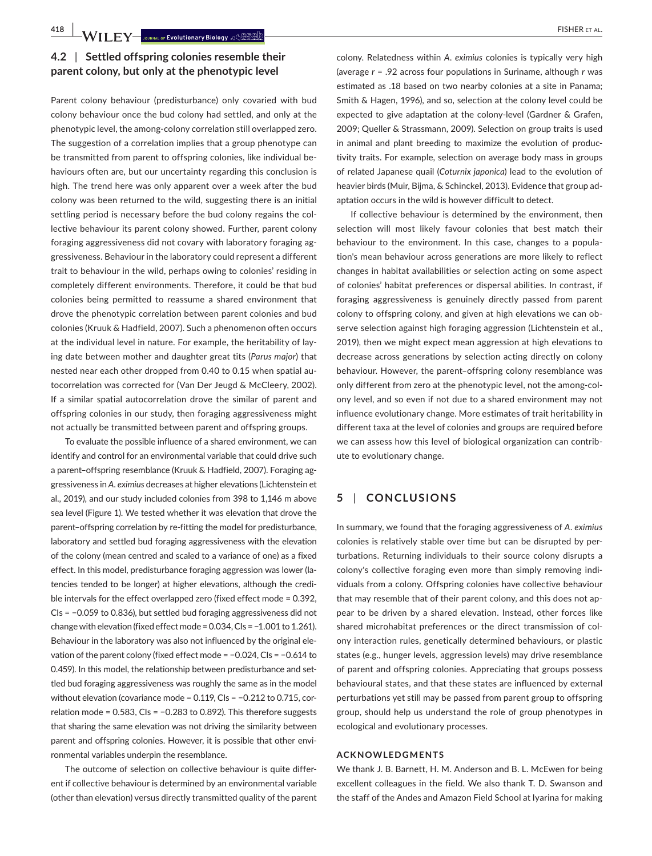**418 • WII FY— Journal of Evolutionary Biology** (AGSSS)

# **4.2** | **Settled offspring colonies resemble their parent colony, but only at the phenotypic level**

Parent colony behaviour (predisturbance) only covaried with bud colony behaviour once the bud colony had settled, and only at the phenotypic level, the among-colony correlation still overlapped zero. The suggestion of a correlation implies that a group phenotype can be transmitted from parent to offspring colonies, like individual behaviours often are, but our uncertainty regarding this conclusion is high. The trend here was only apparent over a week after the bud colony was been returned to the wild, suggesting there is an initial settling period is necessary before the bud colony regains the collective behaviour its parent colony showed. Further, parent colony foraging aggressiveness did not covary with laboratory foraging aggressiveness. Behaviour in the laboratory could represent a different trait to behaviour in the wild, perhaps owing to colonies' residing in completely different environments. Therefore, it could be that bud colonies being permitted to reassume a shared environment that drove the phenotypic correlation between parent colonies and bud colonies (Kruuk & Hadfield, 2007). Such a phenomenon often occurs at the individual level in nature. For example, the heritability of laying date between mother and daughter great tits (*Parus major*) that nested near each other dropped from 0.40 to 0.15 when spatial autocorrelation was corrected for (Van Der Jeugd & McCleery, 2002). If a similar spatial autocorrelation drove the similar of parent and offspring colonies in our study, then foraging aggressiveness might not actually be transmitted between parent and offspring groups.

To evaluate the possible influence of a shared environment, we can identify and control for an environmental variable that could drive such a parent–offspring resemblance (Kruuk & Hadfield, 2007). Foraging aggressiveness in *A. eximius* decreases at higher elevations (Lichtenstein et al., 2019), and our study included colonies from 398 to 1,146 m above sea level (Figure 1). We tested whether it was elevation that drove the parent–offspring correlation by re-fitting the model for predisturbance, laboratory and settled bud foraging aggressiveness with the elevation of the colony (mean centred and scaled to a variance of one) as a fixed effect. In this model, predisturbance foraging aggression was lower (latencies tended to be longer) at higher elevations, although the credible intervals for the effect overlapped zero (fixed effect mode = 0.392, CIs = −0.059 to 0.836), but settled bud foraging aggressiveness did not change with elevation (fixed effect mode = 0.034, CIs = −1.001 to 1.261). Behaviour in the laboratory was also not influenced by the original elevation of the parent colony (fixed effect mode = −0.024, CIs = −0.614 to 0.459). In this model, the relationship between predisturbance and settled bud foraging aggressiveness was roughly the same as in the model without elevation (covariance mode = 0.119, CIs = −0.212 to 0.715, correlation mode = 0.583, CIs = −0.283 to 0.892). This therefore suggests that sharing the same elevation was not driving the similarity between parent and offspring colonies. However, it is possible that other environmental variables underpin the resemblance.

The outcome of selection on collective behaviour is quite different if collective behaviour is determined by an environmental variable (other than elevation) versus directly transmitted quality of the parent

colony. Relatedness within *A. eximius* colonies is typically very high (average *r* = .92 across four populations in Suriname, although *r* was estimated as .18 based on two nearby colonies at a site in Panama; Smith & Hagen, 1996), and so, selection at the colony level could be expected to give adaptation at the colony-level (Gardner & Grafen, 2009; Queller & Strassmann, 2009). Selection on group traits is used in animal and plant breeding to maximize the evolution of productivity traits. For example, selection on average body mass in groups of related Japanese quail (*Coturnix japonica*) lead to the evolution of heavier birds (Muir, Bijma, & Schinckel, 2013). Evidence that group adaptation occurs in the wild is however difficult to detect.

If collective behaviour is determined by the environment, then selection will most likely favour colonies that best match their behaviour to the environment. In this case, changes to a population's mean behaviour across generations are more likely to reflect changes in habitat availabilities or selection acting on some aspect of colonies' habitat preferences or dispersal abilities. In contrast, if foraging aggressiveness is genuinely directly passed from parent colony to offspring colony, and given at high elevations we can observe selection against high foraging aggression (Lichtenstein et al., 2019), then we might expect mean aggression at high elevations to decrease across generations by selection acting directly on colony behaviour. However, the parent–offspring colony resemblance was only different from zero at the phenotypic level, not the among-colony level, and so even if not due to a shared environment may not influence evolutionary change. More estimates of trait heritability in different taxa at the level of colonies and groups are required before we can assess how this level of biological organization can contribute to evolutionary change.

# **5** | **CONCLUSIONS**

In summary, we found that the foraging aggressiveness of *A. eximius* colonies is relatively stable over time but can be disrupted by perturbations. Returning individuals to their source colony disrupts a colony's collective foraging even more than simply removing individuals from a colony. Offspring colonies have collective behaviour that may resemble that of their parent colony, and this does not appear to be driven by a shared elevation. Instead, other forces like shared microhabitat preferences or the direct transmission of colony interaction rules, genetically determined behaviours, or plastic states (e.g., hunger levels, aggression levels) may drive resemblance of parent and offspring colonies. Appreciating that groups possess behavioural states, and that these states are influenced by external perturbations yet still may be passed from parent group to offspring group, should help us understand the role of group phenotypes in ecological and evolutionary processes.

#### **ACKNOWLEDGMENTS**

We thank J. B. Barnett, H. M. Anderson and B. L. McEwen for being excellent colleagues in the field. We also thank T. D. Swanson and the staff of the Andes and Amazon Field School at Iyarina for making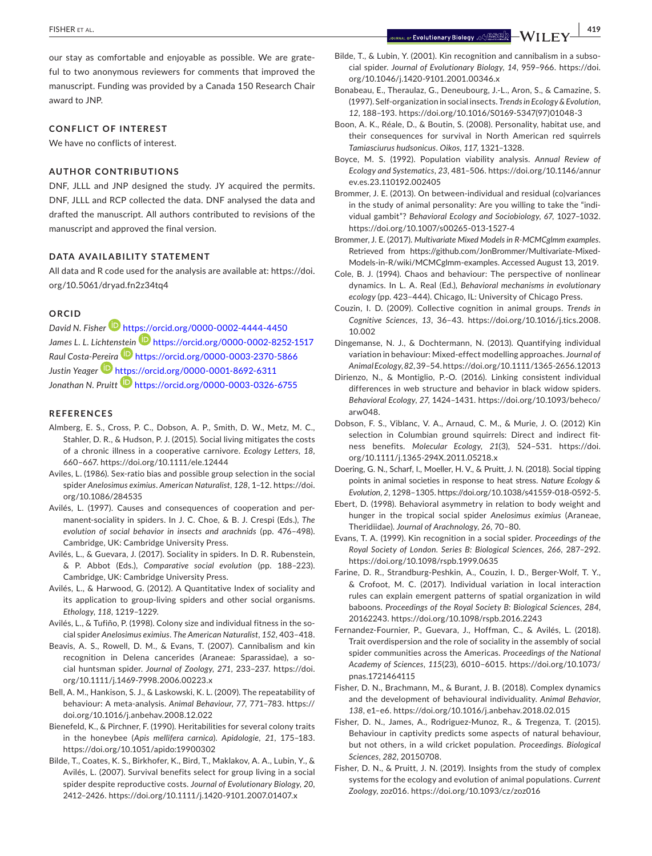our stay as comfortable and enjoyable as possible. We are grateful to two anonymous reviewers for comments that improved the manuscript. Funding was provided by a Canada 150 Research Chair award to JNP.

#### **CONFLICT OF INTEREST**

We have no conflicts of interest.

#### **AUTHOR CONTRIBUTIONS**

DNF, JLLL and JNP designed the study. JY acquired the permits. DNF, JLLL and RCP collected the data. DNF analysed the data and drafted the manuscript. All authors contributed to revisions of the manuscript and approved the final version.

## **DATA AVAILABILITY STATEMENT**

All data and R code used for the analysis are available at: [https://doi.](https://doi.org/10.5061/dryad.fn2z34tq4) [org/10.5061/dryad.fn2z34tq4](https://doi.org/10.5061/dryad.fn2z34tq4)

#### **ORCID**

*David N. Fisher* <https://orcid.org/0000-0002-4444-4450> *James L. L. Lichte[nstein](https://orcid.org/0000-0003-2370-5866)* <https://orcid.org/0000-0002-8252-1517> *Raul Costa-P[ereira](https://orcid.org/0000-0001-8692-6311)* <https://orcid.org/0000-0003-2370-5866> *Justin Yeager* <https://orcid.org/0000-0001-8692-6311> Jonathan N. Pruitt<sup>1</sup> <https://orcid.org/0000-0003-0326-6755>

#### **REFERENCES**

- Almberg, E. S., Cross, P. C., Dobson, A. P., Smith, D. W., Metz, M. C., Stahler, D. R., & Hudson, P. J. (2015). Social living mitigates the costs of a chronic illness in a cooperative carnivore. *Ecology Letters*, *18*, 660–667. <https://doi.org/10.1111/ele.12444>
- Aviles, L. (1986). Sex-ratio bias and possible group selection in the social spider *Anelosimus eximius*. *American Naturalist*, *128*, 1–12. [https://doi.](https://doi.org/10.1086/284535) [org/10.1086/284535](https://doi.org/10.1086/284535)
- Avilés, L. (1997). Causes and consequences of cooperation and permanent-sociality in spiders. In J. C. Choe, & B. J. Crespi (Eds.), *The evolution of social behavior in insects and arachnids* (pp. 476–498). Cambridge, UK: Cambridge University Press.
- Avilés, L., & Guevara, J. (2017). Sociality in spiders. In D. R. Rubenstein, & P. Abbot (Eds.), *Comparative social evolution* (pp. 188–223). Cambridge, UK: Cambridge University Press.
- Avilés, L., & Harwood, G. (2012). A Quantitative Index of sociality and its application to group-living spiders and other social organisms. *Ethology*, *118*, 1219–1229.
- Avilés, L., & Tufiño, P. (1998). Colony size and individual fitness in the social spider *Anelosimus eximius*. *The American Naturalist*, *152*, 403–418.
- Beavis, A. S., Rowell, D. M., & Evans, T. (2007). Cannibalism and kin recognition in Delena cancerides (Araneae: Sparassidae), a social huntsman spider. *Journal of Zoology*, *271*, 233–237. [https://doi.](https://doi.org/10.1111/j.1469-7998.2006.00223.x) [org/10.1111/j.1469-7998.2006.00223.x](https://doi.org/10.1111/j.1469-7998.2006.00223.x)
- Bell, A. M., Hankison, S. J., & Laskowski, K. L. (2009). The repeatability of behaviour: A meta-analysis. *Animal Behaviour*, *77*, 771–783. [https://](https://doi.org/10.1016/j.anbehav.2008.12.022) [doi.org/10.1016/j.anbehav.2008.12.022](https://doi.org/10.1016/j.anbehav.2008.12.022)
- Bienefeld, K., & Pirchner, F. (1990). Heritabilities for several colony traits in the honeybee (*Apis mellifera carnica*). *Apidologie*, *21*, 175–183. <https://doi.org/10.1051/apido:19900302>
- Bilde, T., Coates, K. S., Birkhofer, K., Bird, T., Maklakov, A. A., Lubin, Y., & Avilés, L. (2007). Survival benefits select for group living in a social spider despite reproductive costs. *Journal of Evolutionary Biology*, *20*, 2412–2426.<https://doi.org/10.1111/j.1420-9101.2007.01407.x>
- Bilde, T., & Lubin, Y. (2001). Kin recognition and cannibalism in a subsocial spider. *Journal of Evolutionary Biology*, *14*, 959–966. [https://doi.](https://doi.org/10.1046/j.1420-9101.2001.00346.x) [org/10.1046/j.1420-9101.2001.00346.x](https://doi.org/10.1046/j.1420-9101.2001.00346.x)
- Bonabeau, E., Theraulaz, G., Deneubourg, J.-L., Aron, S., & Camazine, S. (1997). Self-organization in social insects. *Trends in Ecology & Evolution*, *12*, 188–193. [https://doi.org/10.1016/S0169-5347\(97\)01048-3](https://doi.org/10.1016/S0169-5347(97)01048-3)
- Boon, A. K., Réale, D., & Boutin, S. (2008). Personality, habitat use, and their consequences for survival in North American red squirrels *Tamiasciurus hudsonicus*. *Oikos*, *117*, 1321–1328.
- Boyce, M. S. (1992). Population viability analysis. *Annual Review of Ecology and Systematics*, *23*, 481–506. [https://doi.org/10.1146/annur](https://doi.org/10.1146/annurev.es.23.110192.002405) [ev.es.23.110192.002405](https://doi.org/10.1146/annurev.es.23.110192.002405)
- Brommer, J. E. (2013). On between-individual and residual (co)variances in the study of animal personality: Are you willing to take the "individual gambit"? *Behavioral Ecology and Sociobiology*, *67*, 1027–1032. <https://doi.org/10.1007/s00265-013-1527-4>
- Brommer, J. E. (2017). *Multivariate Mixed Models in R-MCMCglmm examples*. Retrieved from [https://github.com/JonBrommer/Multivariate-Mixed-](https://github.com/JonBrommer/Multivariate-Mixed-Models-in-R/wiki/MCMCglmm-examples)[Models-in-R/wiki/MCMCglmm-examples.](https://github.com/JonBrommer/Multivariate-Mixed-Models-in-R/wiki/MCMCglmm-examples) Accessed August 13, 2019.
- Cole, B. J. (1994). Chaos and behaviour: The perspective of nonlinear dynamics. In L. A. Real (Ed.), *Behavioral mechanisms in evolutionary ecology* (pp. 423–444). Chicago, IL: University of Chicago Press.
- Couzin, I. D. (2009). Collective cognition in animal groups. *Trends in Cognitive Sciences*, *13*, 36–43. [https://doi.org/10.1016/j.tics.2008.](https://doi.org/10.1016/j.tics.2008.10.002) [10.002](https://doi.org/10.1016/j.tics.2008.10.002)
- Dingemanse, N. J., & Dochtermann, N. (2013). Quantifying individual variation in behaviour: Mixed-effect modelling approaches. *Journal of Animal Ecology*, *82*, 39–54.<https://doi.org/10.1111/1365-2656.12013>
- Dirienzo, N., & Montiglio, P.-O. (2016). Linking consistent individual differences in web structure and behavior in black widow spiders. *Behavioral Ecology*, *27*, 1424–1431. [https://doi.org/10.1093/beheco/](https://doi.org/10.1093/beheco/arw048) [arw048.](https://doi.org/10.1093/beheco/arw048)
- Dobson, F. S., Viblanc, V. A., Arnaud, C. M., & Murie, J. O. (2012) Kin selection in Columbian ground squirrels: Direct and indirect fitness benefits. *Molecular Ecology*, *21*(3), 524–531. [https://doi.](https://doi.org/10.1111/j.1365-294X.2011.05218.x) [org/10.1111/j.1365-294X.2011.05218.x](https://doi.org/10.1111/j.1365-294X.2011.05218.x)
- Doering, G. N., Scharf, I., Moeller, H. V., & Pruitt, J. N. (2018). Social tipping points in animal societies in response to heat stress. *Nature Ecology & Evolution*, *2*, 1298–1305. [https://doi.org/10.1038/s41559-018-0592-5.](https://doi.org/10.1038/s41559-018-0592-5)
- Ebert, D. (1998). Behavioral asymmetry in relation to body weight and hunger in the tropical social spider *Anelosimus eximius* (Araneae, Theridiidae). *Journal of Arachnology*, *26*, 70–80.
- Evans, T. A. (1999). Kin recognition in a social spider. *Proceedings of the Royal Society of London. Series B: Biological Sciences*, *266*, 287–292. <https://doi.org/10.1098/rspb.1999.0635>
- Farine, D. R., Strandburg-Peshkin, A., Couzin, I. D., Berger-Wolf, T. Y., & Crofoot, M. C. (2017). Individual variation in local interaction rules can explain emergent patterns of spatial organization in wild baboons. *Proceedings of the Royal Society B: Biological Sciences*, *284*, 20162243. <https://doi.org/10.1098/rspb.2016.2243>
- Fernandez-Fournier, P., Guevara, J., Hoffman, C., & Avilés, L. (2018). Trait overdispersion and the role of sociality in the assembly of social spider communities across the Americas. *Proceedings of the National Academy of Sciences*, *115*(23), 6010–6015. [https://doi.org/10.1073/](https://doi.org/10.1073/pnas.1721464115) [pnas.1721464115](https://doi.org/10.1073/pnas.1721464115)
- Fisher, D. N., Brachmann, M., & Burant, J. B. (2018). Complex dynamics and the development of behavioural individuality. *Animal Behavior*, *138*, e1–e6. <https://doi.org/10.1016/j.anbehav.2018.02.015>
- Fisher, D. N., James, A., Rodriguez-Munoz, R., & Tregenza, T. (2015). Behaviour in captivity predicts some aspects of natural behaviour, but not others, in a wild cricket population. *Proceedings. Biological Sciences*, *282*, 20150708.
- Fisher, D. N., & Pruitt, J. N. (2019). Insights from the study of complex systems for the ecology and evolution of animal populations. *Current Zoology*, zoz016. <https://doi.org/10.1093/cz/zoz016>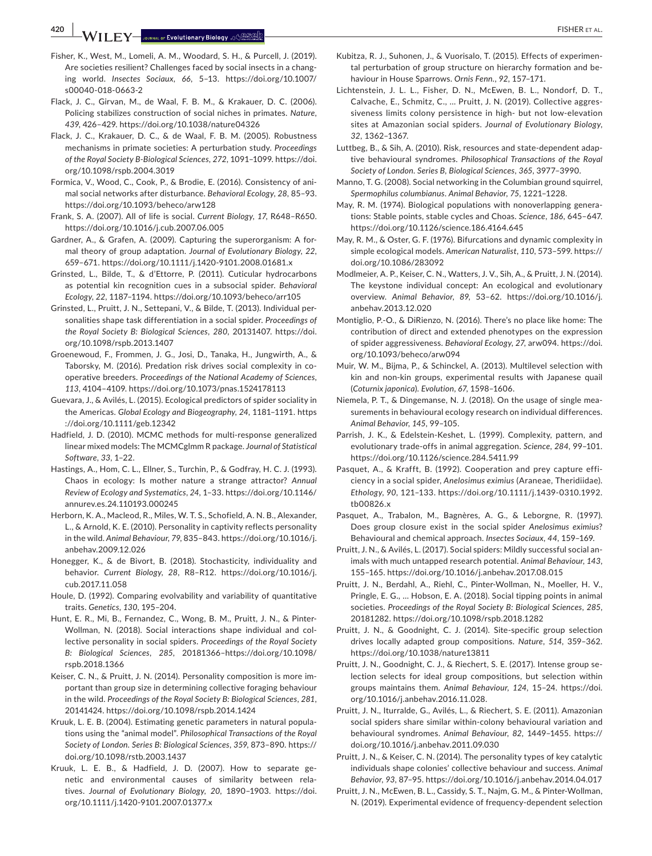**420 |**  FISHER et al.

- Fisher, K., West, M., Lomeli, A. M., Woodard, S. H., & Purcell, J. (2019). Are societies resilient? Challenges faced by social insects in a changing world. *Insectes Sociaux*, *66*, 5–13. [https://doi.org/10.1007/](https://doi.org/10.1007/s00040-018-0663-2) [s00040-018-0663-2](https://doi.org/10.1007/s00040-018-0663-2)
- Flack, J. C., Girvan, M., de Waal, F. B. M., & Krakauer, D. C. (2006). Policing stabilizes construction of social niches in primates. *Nature*, *439*, 426–429.<https://doi.org/10.1038/nature04326>
- Flack, J. C., Krakauer, D. C., & de Waal, F. B. M. (2005). Robustness mechanisms in primate societies: A perturbation study. *Proceedings of the Royal Society B-Biological Sciences*, *272*, 1091–1099. [https://doi.](https://doi.org/10.1098/rspb.2004.3019) [org/10.1098/rspb.2004.3019](https://doi.org/10.1098/rspb.2004.3019)
- Formica, V., Wood, C., Cook, P., & Brodie, E. (2016). Consistency of animal social networks after disturbance. *Behavioral Ecology*, *28*, 85–93. <https://doi.org/10.1093/beheco/arw128>
- Frank, S. A. (2007). All of life is social. *Current Biology*, *17*, R648–R650. <https://doi.org/10.1016/j.cub.2007.06.005>
- Gardner, A., & Grafen, A. (2009). Capturing the superorganism: A formal theory of group adaptation. *Journal of Evolutionary Biology*, *22*, 659–671.<https://doi.org/10.1111/j.1420-9101.2008.01681.x>
- Grinsted, L., Bilde, T., & d'Ettorre, P. (2011). Cuticular hydrocarbons as potential kin recognition cues in a subsocial spider. *Behavioral Ecology*, *22*, 1187–1194. <https://doi.org/10.1093/beheco/arr105>
- Grinsted, L., Pruitt, J. N., Settepani, V., & Bilde, T. (2013). Individual personalities shape task differentiation in a social spider. *Proceedings of the Royal Society B: Biological Sciences*, *280*, 20131407. [https://doi.](https://doi.org/10.1098/rspb.2013.1407) [org/10.1098/rspb.2013.1407](https://doi.org/10.1098/rspb.2013.1407)
- Groenewoud, F., Frommen, J. G., Josi, D., Tanaka, H., Jungwirth, A., & Taborsky, M. (2016). Predation risk drives social complexity in cooperative breeders. *Proceedings of the National Academy of Sciences*, *113*, 4104–4109. <https://doi.org/10.1073/pnas.1524178113>
- Guevara, J., & Avilés, L. (2015). Ecological predictors of spider sociality in the Americas. *Global Ecology and Biogeography*, *24*, 1181–1191. [https](https://doi.org/10.1111/geb.12342) [://doi.org/10.1111/geb.12342](https://doi.org/10.1111/geb.12342)
- Hadfield, J. D. (2010). MCMC methods for multi-response generalized linear mixed models: The MCMCglmm R package. *Journal of Statistical Software*, *33*, 1–22.
- Hastings, A., Hom, C. L., Ellner, S., Turchin, P., & Godfray, H. C. J. (1993). Chaos in ecology: Is mother nature a strange attractor? *Annual Review of Ecology and Systematics*, *24*, 1–33. [https://doi.org/10.1146/](https://doi.org/10.1146/annurev.es.24.110193.000245) [annurev.es.24.110193.000245](https://doi.org/10.1146/annurev.es.24.110193.000245)
- Herborn, K. A., Macleod, R., Miles, W. T. S., Schofield, A. N. B., Alexander, L., & Arnold, K. E. (2010). Personality in captivity reflects personality in the wild. *Animal Behaviour*, *79*, 835–843. [https://doi.org/10.1016/j.](https://doi.org/10.1016/j.anbehav.2009.12.026) [anbehav.2009.12.026](https://doi.org/10.1016/j.anbehav.2009.12.026)
- Honegger, K., & de Bivort, B. (2018). Stochasticity, individuality and behavior. *Current Biology*, *28*, R8–R12. [https://doi.org/10.1016/j.](https://doi.org/10.1016/j.cub.2017.11.058) [cub.2017.11.058](https://doi.org/10.1016/j.cub.2017.11.058)
- Houle, D. (1992). Comparing evolvability and variability of quantitative traits. *Genetics*, *130*, 195–204.
- Hunt, E. R., Mi, B., Fernandez, C., Wong, B. M., Pruitt, J. N., & Pinter-Wollman, N. (2018). Social interactions shape individual and collective personality in social spiders. *Proceedings of the Royal Society B: Biological Sciences*, *285*, 20181366–[https://doi.org/10.1098/](https://doi.org/10.1098/rspb.2018.1366) [rspb.2018.1366](https://doi.org/10.1098/rspb.2018.1366)
- Keiser, C. N., & Pruitt, J. N. (2014). Personality composition is more important than group size in determining collective foraging behaviour in the wild. *Proceedings of the Royal Society B: Biological Sciences*, *281*, 20141424.<https://doi.org/10.1098/rspb.2014.1424>
- Kruuk, L. E. B. (2004). Estimating genetic parameters in natural populations using the "animal model". *Philosophical Transactions of the Royal Society of London. Series B: Biological Sciences*, *359*, 873–890. [https://](https://doi.org/10.1098/rstb.2003.1437) [doi.org/10.1098/rstb.2003.1437](https://doi.org/10.1098/rstb.2003.1437)
- Kruuk, L. E. B., & Hadfield, J. D. (2007). How to separate genetic and environmental causes of similarity between relatives. *Journal of Evolutionary Biology*, *20*, 1890–1903. [https://doi.](https://doi.org/10.1111/j.1420-9101.2007.01377.x) [org/10.1111/j.1420-9101.2007.01377.x](https://doi.org/10.1111/j.1420-9101.2007.01377.x)
- Kubitza, R. J., Suhonen, J., & Vuorisalo, T. (2015). Effects of experimental perturbation of group structure on hierarchy formation and behaviour in House Sparrows. *Ornis Fenn.*, *92*, 157–171.
- Lichtenstein, J. L. L., Fisher, D. N., McEwen, B. L., Nondorf, D. T., Calvache, E., Schmitz, C., … Pruitt, J. N. (2019). Collective aggressiveness limits colony persistence in high- but not low-elevation sites at Amazonian social spiders. *Journal of Evolutionary Biology*, *32*, 1362–1367.
- Luttbeg, B., & Sih, A. (2010). Risk, resources and state-dependent adaptive behavioural syndromes. *Philosophical Transactions of the Royal Society of London. Series B, Biological Sciences*, *365*, 3977–3990.
- Manno, T. G. (2008). Social networking in the Columbian ground squirrel, *Spermophilus columbianus*. *Animal Behavior*, *75*, 1221–1228.
- May, R. M. (1974). Biological populations with nonoverlapping generations: Stable points, stable cycles and Choas. *Science*, *186*, 645–647. <https://doi.org/10.1126/science.186.4164.645>
- May, R. M., & Oster, G. F. (1976). Bifurcations and dynamic complexity in simple ecological models. *American Naturalist*, *110*, 573–599. [https://](https://doi.org/10.1086/283092) [doi.org/10.1086/283092](https://doi.org/10.1086/283092)
- Modlmeier, A. P., Keiser, C. N., Watters, J. V., Sih, A., & Pruitt, J. N. (2014). The keystone individual concept: An ecological and evolutionary overview. *Animal Behavior*, *89*, 53–62. [https://doi.org/10.1016/j.](https://doi.org/10.1016/j.anbehav.2013.12.020) [anbehav.2013.12.020](https://doi.org/10.1016/j.anbehav.2013.12.020)
- Montiglio, P.-O., & DiRienzo, N. (2016). There's no place like home: The contribution of direct and extended phenotypes on the expression of spider aggressiveness. *Behavioral Ecology*, *27*, arw094. [https://doi.](https://doi.org/10.1093/beheco/arw094) [org/10.1093/beheco/arw094](https://doi.org/10.1093/beheco/arw094)
- Muir, W. M., Bijma, P., & Schinckel, A. (2013). Multilevel selection with kin and non-kin groups, experimental results with Japanese quail (*Coturnix japonica*). *Evolution*, *67*, 1598–1606.
- Niemela, P. T., & Dingemanse, N. J. (2018). On the usage of single measurements in behavioural ecology research on individual differences. *Animal Behavior*, *145*, 99–105.
- Parrish, J. K., & Edelstein-Keshet, L. (1999). Complexity, pattern, and evolutionary trade-offs in animal aggregation. *Science*, *284*, 99–101. <https://doi.org/10.1126/science.284.5411.99>
- Pasquet, A., & Krafft, B. (1992). Cooperation and prey capture efficiency in a social spider, *Anelosimus eximius* (Araneae, Theridiidae). *Ethology*, *90*, 121–133. [https://doi.org/10.1111/j.1439-0310.1992.](https://doi.org/10.1111/j.1439-0310.1992.tb00826.x) [tb00826.x](https://doi.org/10.1111/j.1439-0310.1992.tb00826.x)
- Pasquet, A., Trabalon, M., Bagnères, A. G., & Leborgne, R. (1997). Does group closure exist in the social spider *Anelosimus eximius*? Behavioural and chemical approach. *Insectes Sociaux*, *44*, 159–169.
- Pruitt, J. N., & Avilés, L. (2017). Social spiders: Mildly successful social animals with much untapped research potential. *Animal Behaviour*, *143*, 155–165. <https://doi.org/10.1016/j.anbehav.2017.08.015>
- Pruitt, J. N., Berdahl, A., Riehl, C., Pinter-Wollman, N., Moeller, H. V., Pringle, E. G., … Hobson, E. A. (2018). Social tipping points in animal societies. *Proceedings of the Royal Society B: Biological Sciences*, *285*, 20181282.<https://doi.org/10.1098/rspb.2018.1282>
- Pruitt, J. N., & Goodnight, C. J. (2014). Site-specific group selection drives locally adapted group compositions. *Nature*, *514*, 359–362. <https://doi.org/10.1038/nature13811>
- Pruitt, J. N., Goodnight, C. J., & Riechert, S. E. (2017). Intense group selection selects for ideal group compositions, but selection within groups maintains them. *Animal Behaviour*, *124*, 15–24. [https://doi.](https://doi.org/10.1016/j.anbehav.2016.11.028) [org/10.1016/j.anbehav.2016.11.028](https://doi.org/10.1016/j.anbehav.2016.11.028).
- Pruitt, J. N., Iturralde, G., Avilés, L., & Riechert, S. E. (2011). Amazonian social spiders share similar within-colony behavioural variation and behavioural syndromes. *Animal Behaviour*, *82*, 1449–1455. [https://](https://doi.org/10.1016/j.anbehav.2011.09.030) [doi.org/10.1016/j.anbehav.2011.09.030](https://doi.org/10.1016/j.anbehav.2011.09.030)
- Pruitt, J. N., & Keiser, C. N. (2014). The personality types of key catalytic individuals shape colonies' collective behaviour and success. *Animal Behavior*, *93*, 87–95.<https://doi.org/10.1016/j.anbehav.2014.04.017>
- Pruitt, J. N., McEwen, B. L., Cassidy, S. T., Najm, G. M., & Pinter-Wollman, N. (2019). Experimental evidence of frequency-dependent selection